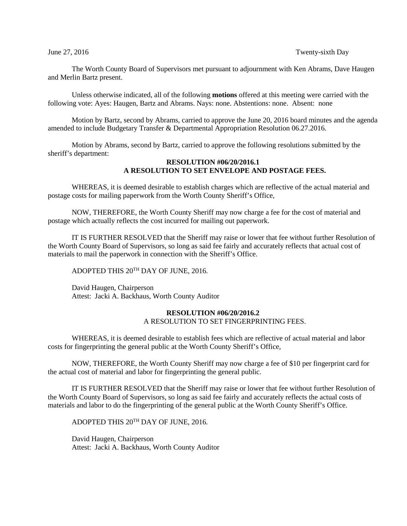## June 27, 2016 Twenty-sixth Day

The Worth County Board of Supervisors met pursuant to adjournment with Ken Abrams, Dave Haugen and Merlin Bartz present.

Unless otherwise indicated, all of the following **motions** offered at this meeting were carried with the following vote: Ayes: Haugen, Bartz and Abrams. Nays: none. Abstentions: none. Absent: none

Motion by Bartz, second by Abrams, carried to approve the June 20, 2016 board minutes and the agenda amended to include Budgetary Transfer & Departmental Appropriation Resolution 06.27.2016.

Motion by Abrams, second by Bartz, carried to approve the following resolutions submitted by the sheriff's department:

# **RESOLUTION #06/20/2016.1 A RESOLUTION TO SET ENVELOPE AND POSTAGE FEES.**

WHEREAS, it is deemed desirable to establish charges which are reflective of the actual material and postage costs for mailing paperwork from the Worth County Sheriff's Office,

NOW, THEREFORE, the Worth County Sheriff may now charge a fee for the cost of material and postage which actually reflects the cost incurred for mailing out paperwork.

IT IS FURTHER RESOLVED that the Sheriff may raise or lower that fee without further Resolution of the Worth County Board of Supervisors, so long as said fee fairly and accurately reflects that actual cost of materials to mail the paperwork in connection with the Sheriff's Office.

ADOPTED THIS 20TH DAY OF JUNE, 2016.

David Haugen, Chairperson Attest: Jacki A. Backhaus, Worth County Auditor

## **RESOLUTION #06/20/2016.2** A RESOLUTION TO SET FINGERPRINTING FEES.

WHEREAS, it is deemed desirable to establish fees which are reflective of actual material and labor costs for fingerprinting the general public at the Worth County Sheriff's Office,

NOW, THEREFORE, the Worth County Sheriff may now charge a fee of \$10 per fingerprint card for the actual cost of material and labor for fingerprinting the general public.

IT IS FURTHER RESOLVED that the Sheriff may raise or lower that fee without further Resolution of the Worth County Board of Supervisors, so long as said fee fairly and accurately reflects the actual costs of materials and labor to do the fingerprinting of the general public at the Worth County Sheriff's Office.

ADOPTED THIS 20TH DAY OF JUNE, 2016.

David Haugen, Chairperson Attest: Jacki A. Backhaus, Worth County Auditor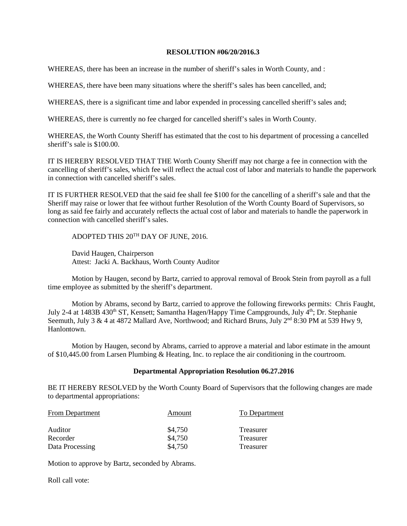## **RESOLUTION #06/20/2016.3**

WHEREAS, there has been an increase in the number of sheriff's sales in Worth County, and :

WHEREAS, there have been many situations where the sheriff's sales has been cancelled, and;

WHEREAS, there is a significant time and labor expended in processing cancelled sheriff's sales and;

WHEREAS, there is currently no fee charged for cancelled sheriff's sales in Worth County.

WHEREAS, the Worth County Sheriff has estimated that the cost to his department of processing a cancelled sheriff's sale is \$100.00.

IT IS HEREBY RESOLVED THAT THE Worth County Sheriff may not charge a fee in connection with the cancelling of sheriff's sales, which fee will reflect the actual cost of labor and materials to handle the paperwork in connection with cancelled sheriff's sales.

IT IS FURTHER RESOLVED that the said fee shall fee \$100 for the cancelling of a sheriff's sale and that the Sheriff may raise or lower that fee without further Resolution of the Worth County Board of Supervisors, so long as said fee fairly and accurately reflects the actual cost of labor and materials to handle the paperwork in connection with cancelled sheriff's sales.

ADOPTED THIS 20TH DAY OF JUNE, 2016.

David Haugen, Chairperson Attest: Jacki A. Backhaus, Worth County Auditor

Motion by Haugen, second by Bartz, carried to approval removal of Brook Stein from payroll as a full time employee as submitted by the sheriff's department.

Motion by Abrams, second by Bartz, carried to approve the following fireworks permits: Chris Faught, July 2-4 at 1483B 430<sup>th</sup> ST, Kensett; Samantha Hagen/Happy Time Campgrounds, July 4<sup>th</sup>; Dr. Stephanie Seemuth, July 3 & 4 at 4872 Mallard Ave, Northwood; and Richard Bruns, July  $2^{nd}$  8:30 PM at 539 Hwy 9, Hanlontown.

Motion by Haugen, second by Abrams, carried to approve a material and labor estimate in the amount of \$10,445.00 from Larsen Plumbing & Heating, Inc. to replace the air conditioning in the courtroom.

## **Departmental Appropriation Resolution 06.27.2016**

BE IT HEREBY RESOLVED by the Worth County Board of Supervisors that the following changes are made to departmental appropriations:

| <b>From Department</b>                 | Amount                        | To Department                       |  |
|----------------------------------------|-------------------------------|-------------------------------------|--|
| Auditor<br>Recorder<br>Data Processing | \$4,750<br>\$4,750<br>\$4,750 | Treasurer<br>Treasurer<br>Treasurer |  |
|                                        |                               |                                     |  |

Motion to approve by Bartz, seconded by Abrams.

Roll call vote: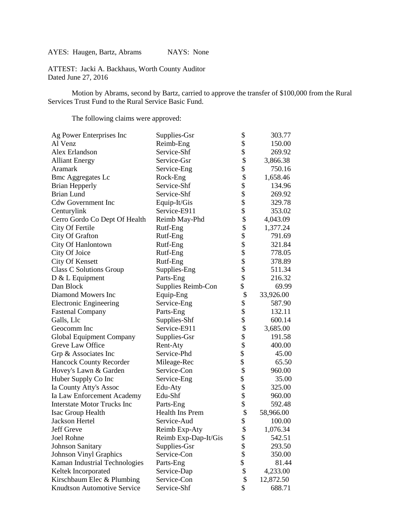AYES: Haugen, Bartz, Abrams NAYS: None

ATTEST: Jacki A. Backhaus, Worth County Auditor Dated June 27, 2016

Motion by Abrams, second by Bartz, carried to approve the transfer of \$100,000 from the Rural Services Trust Fund to the Rural Service Basic Fund.

The following claims were approved:

| Ag Power Enterprises Inc           | Supplies-Gsr         | \$                                                                              | 303.77    |
|------------------------------------|----------------------|---------------------------------------------------------------------------------|-----------|
| Al Venz                            | Reimb-Eng            |                                                                                 | 150.00    |
| Alex Erlandson                     | Service-Shf          | $\begin{array}{c} \text{\$} \\ \text{\$} \\ \text{\$} \\ \text{\$} \end{array}$ | 269.92    |
| <b>Alliant Energy</b>              | Service-Gsr          |                                                                                 | 3,866.38  |
| Aramark                            | Service-Eng          |                                                                                 | 750.16    |
| <b>Bmc Aggregates Lc</b>           | Rock-Eng             |                                                                                 | 1,658.46  |
| Brian Hepperly                     | Service-Shf          |                                                                                 | 134.96    |
| <b>Brian Lund</b>                  | Service-Shf          | \$\$\$\$\$\$                                                                    | 269.92    |
| <b>Cdw Government Inc</b>          | Equip-It/Gis         |                                                                                 | 329.78    |
| Centurylink                        | Service-E911         |                                                                                 | 353.02    |
| Cerro Gordo Co Dept Of Health      | Reimb May-Phd        |                                                                                 | 4,043.09  |
| City Of Fertile                    | Rutf-Eng             |                                                                                 | 1,377.24  |
| City Of Grafton                    | Rutf-Eng             |                                                                                 | 791.69    |
| City Of Hanlontown                 | Rutf-Eng             |                                                                                 | 321.84    |
| City Of Joice                      | Rutf-Eng             |                                                                                 | 778.05    |
| City Of Kensett                    | Rutf-Eng             |                                                                                 | 378.89    |
| <b>Class C Solutions Group</b>     | Supplies-Eng         | \$\$\$\$\$\$\$\$\$                                                              | 511.34    |
| $D & L$ Equipment                  | Parts-Eng            |                                                                                 | 216.32    |
| Dan Block                          | Supplies Reimb-Con   | \$                                                                              | 69.99     |
| Diamond Mowers Inc                 | Equip-Eng            | \$                                                                              | 33,926.00 |
| <b>Electronic Engineering</b>      | Service-Eng          |                                                                                 | 587.90    |
| <b>Fastenal Company</b>            | Parts-Eng            |                                                                                 | 132.11    |
| Galls, Llc                         | Supplies-Shf         | \$\$\$\$\$\$\$                                                                  | 600.14    |
| Geocomm Inc                        | Service-E911         |                                                                                 | 3,685.00  |
| <b>Global Equipment Company</b>    | Supplies-Gsr         |                                                                                 | 191.58    |
| Greve Law Office                   | Rent-Aty             |                                                                                 | 400.00    |
| Grp & Associates Inc               | Service-Phd          |                                                                                 | 45.00     |
| Hancock County Recorder            | Mileage-Rec          | \$                                                                              | 65.50     |
| Hovey's Lawn & Garden              | Service-Con          | \$                                                                              | 960.00    |
| Huber Supply Co Inc                | Service-Eng          | \$                                                                              | 35.00     |
| Ia County Atty's Assoc             | Edu-Aty              | \$                                                                              | 325.00    |
| Ia Law Enforcement Academy         | Edu-Shf              |                                                                                 | 960.00    |
| <b>Interstate Motor Trucks Inc</b> | Parts-Eng            | \$                                                                              | 592.48    |
| Isac Group Health                  | Health Ins Prem      | \$                                                                              | 58,966.00 |
| Jackson Hertel                     | Service-Aud          | \$                                                                              | 100.00    |
| Jeff Greve                         | Reimb Exp-Aty        | \$                                                                              | 1,076.34  |
| Joel Rohne                         | Reimb Exp-Dap-It/Gis | \$                                                                              | 542.51    |
| <b>Johnson Sanitary</b>            | Supplies-Gsr         | \$\$\$                                                                          | 293.50    |
| Johnson Vinyl Graphics             | Service-Con          |                                                                                 | 350.00    |
| Kaman Industrial Technologies      | Parts-Eng            |                                                                                 | 81.44     |
| Keltek Incorporated                | Service-Dap          | \$                                                                              | 4,233.00  |
| Kirschbaum Elec & Plumbing         | Service-Con          | \$                                                                              | 12,872.50 |
| Knudtson Automotive Service        | Service-Shf          | \$                                                                              | 688.71    |